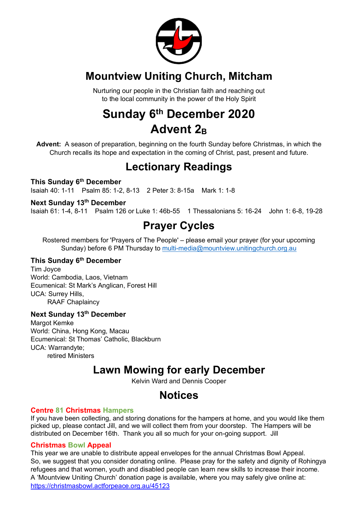

### **Mountview Uniting Church, Mitcham**

Nurturing our people in the Christian faith and reaching out to the local community in the power of the Holy Spirit

## **Sunday 6th December 2020 Advent 2B**

**Advent:** A season of preparation, beginning on the fourth Sunday before Christmas, in which the Church recalls its hope and expectation in the coming of Christ, past, present and future.

### **Lectionary Readings**

#### **This Sunday 6th December**

Isaiah 40: 1-11 Psalm 85: 1-2, 8-13 2 Peter 3: 8-15a Mark 1: 1-8

#### **Next Sunday 13th December**

Isaiah 61: 1-4, 8-11 Psalm 126 or Luke 1: 46b-55 1 Thessalonians 5: 16-24 John 1: 6-8, 19-28

### **Prayer Cycles**

Rostered members for 'Prayers of The People' – please email your prayer (for your upcoming Sunday) before 6 PM Thursday to multi-media@mountview.unitingchurch.org.au

#### **This Sunday 6th December**

Tim Joyce World: Cambodia, Laos, Vietnam Ecumenical: St Mark's Anglican, Forest Hill UCA: Surrey Hills, RAAF Chaplaincy

### **Next Sunday 13th December**

Margot Kemke World: China, Hong Kong, Macau Ecumenical: St Thomas' Catholic, Blackburn UCA: Warrandyte; retired Ministers

### **Lawn Mowing for early December**

Kelvin Ward and Dennis Cooper

### **Notices**

#### **Centre 81 Christmas Hampers**

If you have been collecting, and storing donations for the hampers at home, and you would like them picked up, please contact Jill, and we will collect them from your doorstep. The Hampers will be distributed on December 16th. Thank you all so much for your on-going support. Jill

#### **Christmas Bowl Appeal**

This year we are unable to distribute appeal envelopes for the annual Christmas Bowl Appeal. So, we suggest that you consider donating online. Please pray for the safety and dignity of Rohingya refugees and that women, youth and disabled people can learn new skills to increase their income. A 'Mountview Uniting Church' donation page is available, where you may safely give online at: https://christmasbowl.actforpeace.org.au/45123